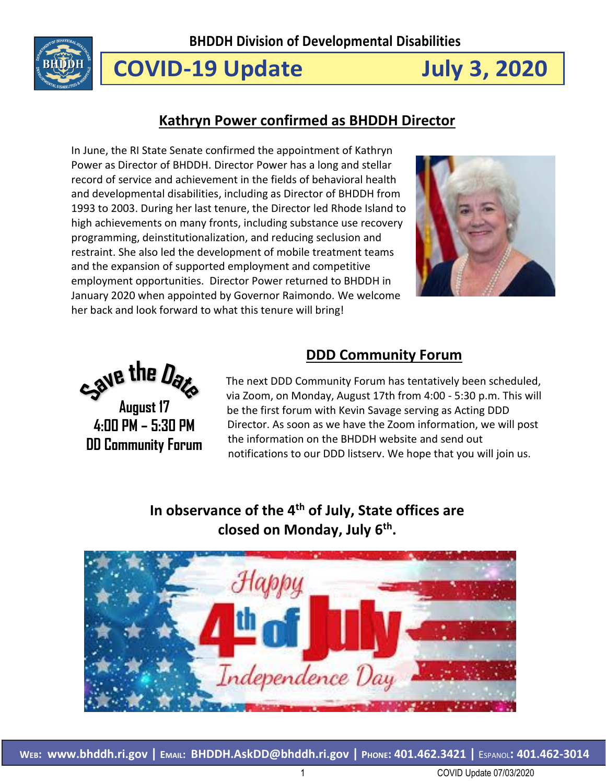

# **COVID-19 Update July 3, 2020**

## **Kathryn Power confirmed as BHDDH Director**

In June, the RI State Senate confirmed the appointment of Kathryn Power as Director of BHDDH. Director Power has a long and stellar record of service and achievement in the fields of behavioral health and developmental disabilities, including as Director of BHDDH from 1993 to 2003. During her last tenure, the Director led Rhode Island to high achievements on many fronts, including substance use recovery programming, deinstitutionalization, and reducing seclusion and restraint. She also led the development of mobile treatment teams and the expansion of supported employment and competitive employment opportunities. Director Power returned to BHDDH in January 2020 when appointed by Governor Raimondo. We welcome her back and look forward to what this tenure will bring!



Save the Date **August 17**

**4:00 PM – 5:30 PM DD Community Forum**

## **DDD Community Forum**

The next DDD Community Forum has tentatively been scheduled, via Zoom, on Monday, August 17th from 4:00 - 5:30 p.m. This will be the first forum with Kevin Savage serving as Acting DDD Director. As soon as we have the Zoom information, we will post the information on the BHDDH website and send out notifications to our DDD listserv. We hope that you will join us.

## **In observance of the 4th of July, State offices are closed on Monday, July 6th .**

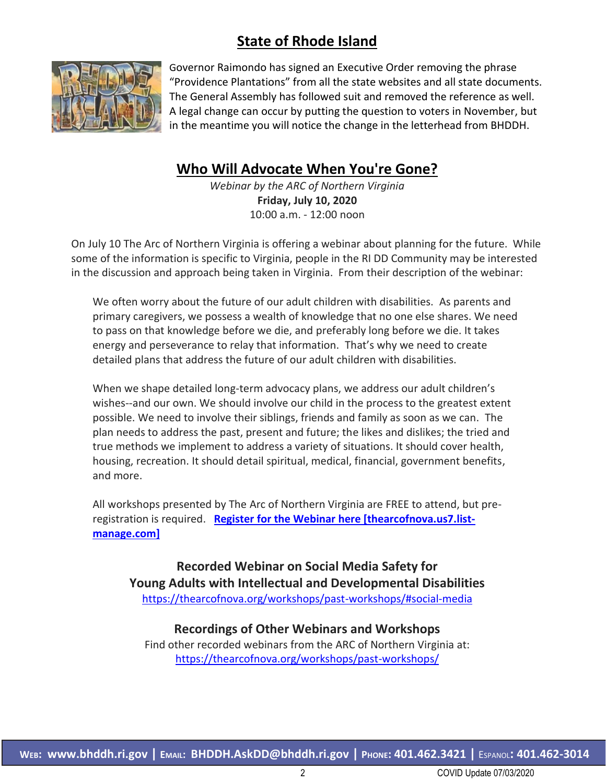## **State of Rhode Island**



Governor Raimondo has signed an Executive Order removing the phrase "Providence Plantations" from all the state websites and all state documents. The General Assembly has followed suit and removed the reference as well. A legal change can occur by putting the question to voters in November, but in the meantime you will notice the change in the letterhead from BHDDH.

## **Who Will Advocate When You're Gone?**

*Webinar by the ARC of Northern Virginia* **Friday, July 10, 2020** 10:00 a.m. - 12:00 noon

On July 10 The Arc of Northern Virginia is offering a webinar about planning for the future. While some of the information is specific to Virginia, people in the RI DD Community may be interested in the discussion and approach being taken in Virginia. From their description of the webinar:

We often worry about the future of our adult children with disabilities. As parents and primary caregivers, we possess a wealth of knowledge that no one else shares. We need to pass on that knowledge before we die, and preferably long before we die. It takes energy and perseverance to relay that information. That's why we need to create detailed plans that address the future of our adult children with disabilities.

When we shape detailed long-term advocacy plans, we address our adult children's wishes--and our own. We should involve our child in the process to the greatest extent possible. We need to involve their siblings, friends and family as soon as we can. The plan needs to address the past, present and future; the likes and dislikes; the tried and true methods we implement to address a variety of situations. It should cover health, housing, recreation. It should detail spiritual, medical, financial, government benefits, and more.

All workshops presented by The Arc of Northern Virginia are FREE to attend, but preregistration is required. **[Register for the Webinar here \[thearcofnova.us7.list](https://urldefense.proofpoint.com/v2/url?u=https-3A__thearcofnova.us7.list-2Dmanage.com_track_click-3Fu-3D872194d64486157a1a1a12ffe-26id-3Deb2ff092f8-26e-3D7e09e52742&d=DwMFaQ&c=tSLbvWYfvulPN3G_n48TUw&r=Q8jsXbS2P1J7BJKxvIQ1R8OK1qktACvK2dPZIQUAtV4&m=PcQ6s552x9yzcF1V3K4-ISMyxr5b0fieo_Sd4Su2D-0&s=KOiD3-40znk1MBU2TW_KgKbM7XEBY64SOZ7CxM5brx4&e=)[manage.com\]](https://urldefense.proofpoint.com/v2/url?u=https-3A__thearcofnova.us7.list-2Dmanage.com_track_click-3Fu-3D872194d64486157a1a1a12ffe-26id-3Deb2ff092f8-26e-3D7e09e52742&d=DwMFaQ&c=tSLbvWYfvulPN3G_n48TUw&r=Q8jsXbS2P1J7BJKxvIQ1R8OK1qktACvK2dPZIQUAtV4&m=PcQ6s552x9yzcF1V3K4-ISMyxr5b0fieo_Sd4Su2D-0&s=KOiD3-40znk1MBU2TW_KgKbM7XEBY64SOZ7CxM5brx4&e=)**

**Recorded Webinar on Social Media Safety for Young Adults with Intellectual and Developmental Disabilities** <https://thearcofnova.org/workshops/past-workshops/#social-media>

#### **Recordings of Other Webinars and Workshops**

Find other recorded webinars from the ARC of Northern Virginia at: <https://thearcofnova.org/workshops/past-workshops/>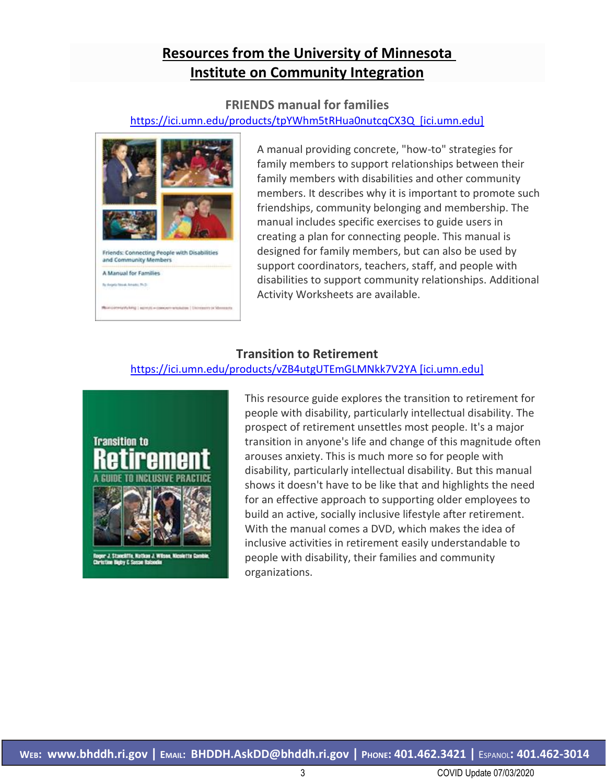## **Resources from the University of Minnesota Institute on Community Integration**

#### **FRIENDS manual for families**

#### [https://ici.umn.edu/products/tpYWhm5tRHua0nutcqCX3Q \[ici.umn.edu\]](https://ici.umn.edu/products/tpYWhm5tRHua0nutcqCX3Q%20%20%5bici.umn.edu%5d)



A manual providing concrete, "how-to" strategies for family members to support relationships between their family members with disabilities and other community members. It describes why it is important to promote such friendships, community belonging and membership. The manual includes specific exercises to guide users in creating a plan for connecting people. This manual is designed for family members, but can also be used by support coordinators, teachers, staff, and people with disabilities to support community relationships. [Additional](https://ici-s.umn.edu/files/HfAqRd9pyQ/activity-worksheets-friends-families-11-15-19.pdf)  [Activity Worksheets are available.](https://ici-s.umn.edu/files/HfAqRd9pyQ/activity-worksheets-friends-families-11-15-19.pdf)

#### **Transition to Retirement**

#### [https://ici.umn.edu/products/vZB4utgUTEmGLMNkk7V2YA \[ici.umn.edu\]](https://ici.umn.edu/products/vZB4utgUTEmGLMNkk7V2YA%20%5bici.umn.edu%5d)



This resource guide explores the transition to retirement for people with disability, particularly intellectual disability. The prospect of retirement unsettles most people. It's a major transition in anyone's life and change of this magnitude often arouses anxiety. This is much more so for people with disability, particularly intellectual disability. But this manual shows it doesn't have to be like that and highlights the need for an effective approach to supporting older employees to build an active, socially inclusive lifestyle after retirement. With the manual comes a DVD, which makes the idea of inclusive activities in retirement easily understandable to people with disability, their families and community organizations.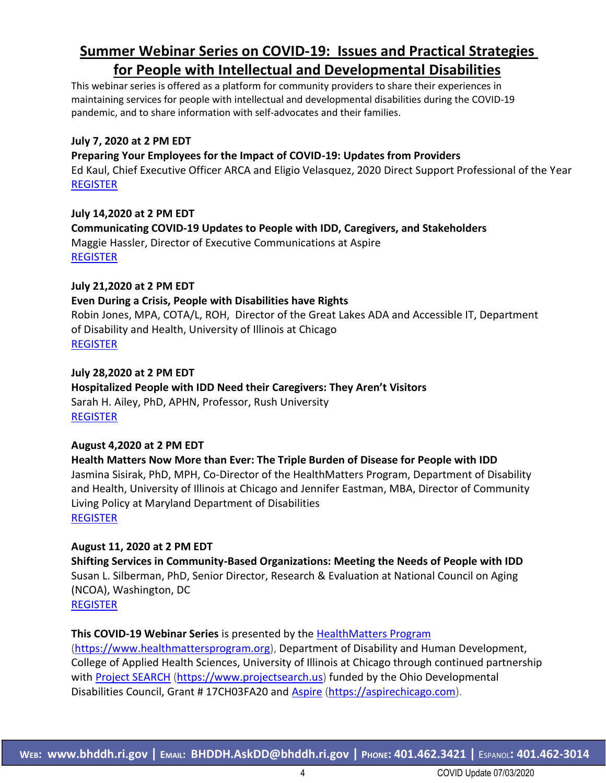## **Summer Webinar Series on COVID-19: Issues and Practical Strategies for People with Intellectual and Developmental Disabilities**

This webinar series is offered as a platform for community providers to share their experiences in maintaining services for people with intellectual and developmental disabilities during the COVID-19 pandemic, and to share information with self-advocates and their families.

#### **July 7, 2020 at 2 PM EDT**

#### **Preparing Your Employees for the Impact of COVID-19: Updates from Providers**

Ed Kaul, Chief Executive Officer ARCA and Eligio Velasquez, 2020 Direct Support Professional of the Year [REGISTER](https://uichicago.webex.com/uichicago/onstage/g.php?MTID=e984bc89d8d872aab94ab27601bfb6d9a)

#### **July 14,2020 at 2 PM EDT**

**Communicating COVID-19 Updates to People with IDD, Caregivers, and Stakeholders** Maggie Hassler, Director of Executive Communications at Aspire [REGISTER](https://uichicago.webex.com/uichicago/onstage/g.php?MTID=eda62a6989cddcf3c62f8313e93cfc7ff)

#### **July 21,2020 at 2 PM EDT**

#### **Even During a Crisis, People with Disabilities have Rights**

Robin Jones, MPA, COTA/L, ROH, Director of the Great Lakes ADA and Accessible IT, Department of Disability and Health, University of Illinois at Chicago [REGISTER](https://uichicago.webex.com/uichicago/onstage/g.php?MTID=e233a36e8e265ed7629740f6c61edd81c)

#### **July 28,2020 at 2 PM EDT**

**Hospitalized People with IDD Need their Caregivers: They Aren't Visitors** Sarah H. Ailey, PhD, APHN, Professor, Rush University [REGISTER](https://uichicago.webex.com/uichicago/onstage/g.php?MTID=e37e0c92a0c96d08788ff4dbee084d78b)

#### **August 4,2020 at 2 PM EDT**

**Health Matters Now More than Ever: The Triple Burden of Disease for People with IDD** Jasmina Sisirak, PhD, MPH, Co-Director of the HealthMatters Program, Department of Disability and Health, University of Illinois at Chicago and Jennifer Eastman, MBA, Director of Community Living Policy at Maryland Department of Disabilities [REGISTER](https://uichicago.webex.com/uichicago/onstage/g.php?MTID=e5441dc45c50f2e3b3782063c978bb5f5)

#### **August 11, 2020 at 2 PM EDT**

**Shifting Services in Community-Based Organizations: Meeting the Needs of People with IDD** Susan L. Silberman, PhD, Senior Director, Research & Evaluation at National Council on Aging (NCOA), Washington, DC [REGISTER](https://uichicago.webex.com/uichicago/onstage/g.php?MTID=e452f9a315fdd80d04b3ac61a86a36998)

#### **This COVID-19 Webinar Series** is presented by the [HealthMatters Program](http://www.healthmattersprogram.org/)

[\(https://www.healthmattersprogram.org\)](https://www.healthmattersprogram.org/), Department of Disability and Human Development, College of Applied Health Sciences, University of Illinois at Chicago through continued partnership with [Project SEARCH](https://www.projectsearch.us/) [\(https://www.projectsearch.us\)](https://www.projectsearch.us/) funded by the Ohio Developmental Disabilities Council, Grant # 17CH03FA20 and **[Aspire](https://aspirechicago.com/) (https://aspirechicago.com**).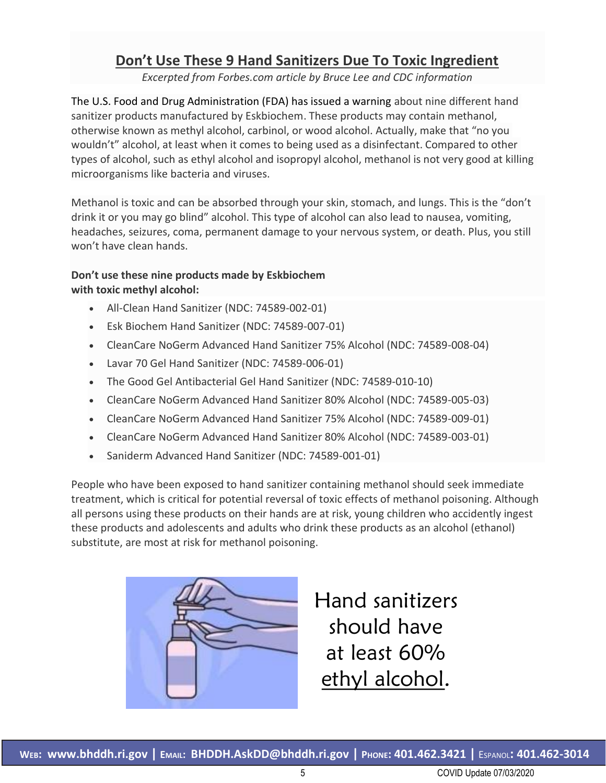## **Don't Use These 9 Hand Sanitizers Due To Toxic Ingredient**

*Excerpted from Forbes.com article by Bruce Lee and CDC information*

The U.S. Food and Drug Administration (FDA) has issued a warning about nine different hand sanitizer products manufactured by Eskbiochem. These products may contain methanol, otherwise known as methyl alcohol, carbinol, or wood alcohol. Actually, make that "no you wouldn't" alcohol, at least when it comes to being used as a disinfectant. Compared to other types of alcohol, such as ethyl alcohol and isopropyl alcohol, methanol is not very good at killing microorganisms like bacteria and viruses.

Methanol is toxic and can be absorbed through your skin, stomach, and lungs. This is the "don't drink it or you may go blind" alcohol. This type of alcohol can also lead to nausea, vomiting, headaches, seizures, coma, permanent damage to your nervous system, or death. Plus, you still won't have clean hands.

#### **Don't use these nine products made by Eskbiochem with toxic methyl alcohol:**

- All-Clean Hand Sanitizer (NDC: 74589-002-01)
- Esk Biochem Hand Sanitizer (NDC: 74589-007-01)
- CleanCare NoGerm Advanced Hand Sanitizer 75% Alcohol (NDC: 74589-008-04)
- Lavar 70 Gel Hand Sanitizer (NDC: 74589-006-01)
- The Good Gel Antibacterial Gel Hand Sanitizer (NDC: 74589-010-10)
- CleanCare NoGerm Advanced Hand Sanitizer 80% Alcohol (NDC: 74589-005-03)
- CleanCare NoGerm Advanced Hand Sanitizer 75% Alcohol (NDC: 74589-009-01)
- CleanCare NoGerm Advanced Hand Sanitizer 80% Alcohol (NDC: 74589-003-01)
- Saniderm Advanced Hand Sanitizer (NDC: 74589-001-01)

People who have been exposed to hand sanitizer containing methanol should seek immediate treatment, which is critical for potential reversal of toxic effects of methanol poisoning. Although all persons using these products on their hands are at risk, young children who accidently ingest these products and adolescents and adults who drink these products as an alcohol (ethanol) substitute, are most at risk for methanol poisoning.



Hand sanitizers should have at least 60% ethyl alcohol.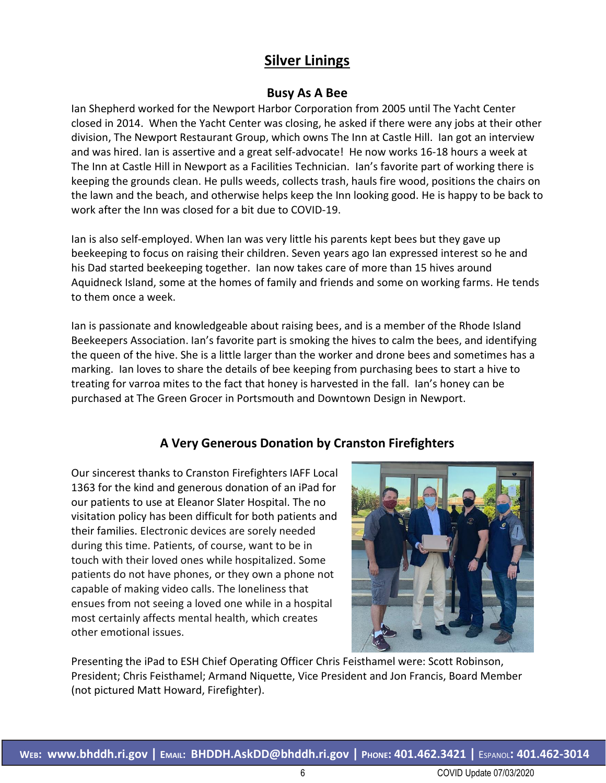## **Silver Linings**

### **Busy As A Bee**

Ian Shepherd worked for the Newport Harbor Corporation from 2005 until The Yacht Center closed in 2014. When the Yacht Center was closing, he asked if there were any jobs at their other division, The Newport Restaurant Group, which owns The Inn at Castle Hill. Ian got an interview and was hired. Ian is assertive and a great self-advocate! He now works 16-18 hours a week at The Inn at Castle Hill in Newport as a Facilities Technician. Ian's favorite part of working there is keeping the grounds clean. He pulls weeds, collects trash, hauls fire wood, positions the chairs on the lawn and the beach, and otherwise helps keep the Inn looking good. He is happy to be back to work after the Inn was closed for a bit due to COVID-19.

Ian is also self-employed. When Ian was very little his parents kept bees but they gave up beekeeping to focus on raising their children. Seven years ago Ian expressed interest so he and his Dad started beekeeping together. Ian now takes care of more than 15 hives around Aquidneck Island, some at the homes of family and friends and some on working farms. He tends to them once a week.

Ian is passionate and knowledgeable about raising bees, and is a member of the Rhode Island Beekeepers Association. Ian's favorite part is smoking the hives to calm the bees, and identifying the queen of the hive. She is a little larger than the worker and drone bees and sometimes has a marking. Ian loves to share the details of bee keeping from purchasing bees to start a hive to treating for varroa mites to the fact that honey is harvested in the fall. Ian's honey can be purchased at The Green Grocer in Portsmouth and Downtown Design in Newport.

## **A Very Generous Donation by Cranston Firefighters**

Our sincerest thanks to Cranston Firefighters IAFF Local 1363 for the kind and generous donation of an iPad for our patients to use at Eleanor Slater Hospital. The no visitation policy has been difficult for both patients and their families. Electronic devices are sorely needed during this time. Patients, of course, want to be in touch with their loved ones while hospitalized. Some patients do not have phones, or they own a phone not capable of making video calls. The loneliness that ensues from not seeing a loved one while in a hospital most certainly affects mental health, which creates other emotional issues.



Presenting the iPad to ESH Chief Operating Officer Chris Feisthamel were: Scott Robinson, President; Chris Feisthamel; Armand Niquette, Vice President and Jon Francis, Board Member (not pictured Matt Howard, Firefighter).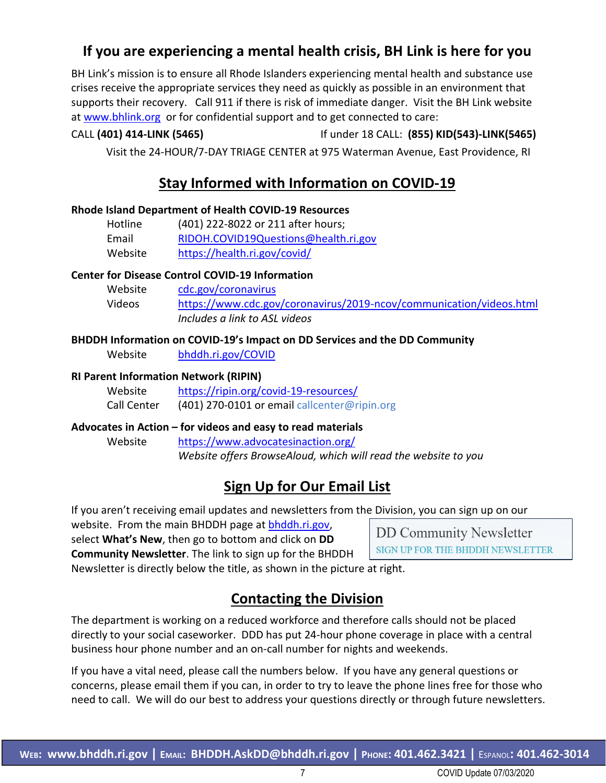## **If you are experiencing a mental health crisis, BH Link is here for you**

BH Link's mission is to ensure all Rhode Islanders experiencing mental health and substance use crises receive the appropriate services they need as quickly as possible in an environment that supports their recovery. Call 911 if there is risk of immediate danger. Visit the BH Link website at [www.bhlink.org](http://www.bhlink.org/) or for confidential support and to get connected to care:

### CALL **(401) 414-LINK (5465)** If under 18 CALL: **(855) KID(543)-LINK(5465)**

Visit the 24-HOUR/7-DAY TRIAGE CENTER at 975 Waterman Avenue, East Providence, RI

## **Stay Informed with Information on COVID-19**

#### **Rhode Island Department of Health COVID-19 Resources**

| Hotline | (401) 222-8022 or 211 after hours;   |
|---------|--------------------------------------|
| Email   | RIDOH.COVID19Questions@health.ri.gov |
| Website | https://health.ri.gov/covid/         |

#### **Center for Disease Control COVID-19 Information**

| Website | cdc.gov/coronavirus                                                 |
|---------|---------------------------------------------------------------------|
| Videos  | https://www.cdc.gov/coronavirus/2019-ncov/communication/videos.html |
|         | Includes a link to ASL videos                                       |

#### **BHDDH Information on COVID-19's Impact on DD Services and the DD Community**

Website [bhddh.ri.gov/COVID](http://www.bhddh.ri.gov/COVID) 

#### **RI Parent Information Network (RIPIN)**

| Website     | https://ripin.org/covid-19-resources/        |
|-------------|----------------------------------------------|
| Call Center | (401) 270-0101 or email callcenter@ripin.org |

#### **Advocates in Action – for videos and easy to read materials**

Website <https://www.advocatesinaction.org/> *Website offers BrowseAloud, which will read the website to you*

## **Sign Up for Our Email List**

If you aren't receiving email updates and newsletters from the Division, you can sign up on our

website. From the main BHDDH page at [bhddh.ri.gov,](http://www.bhddh.ri.gov/) select **What's New**, then go to bottom and click on **DD Community Newsletter**. The link to sign up for the BHDDH

**DD Community Newsletter** SIGN UP FOR THE BHDDH NEWSLETTER

Newsletter is directly below the title, as shown in the picture at right.

## **Contacting the Division**

The department is working on a reduced workforce and therefore calls should not be placed directly to your social caseworker. DDD has put 24-hour phone coverage in place with a central business hour phone number and an on-call number for nights and weekends.

If you have a vital need, please call the numbers below. If you have any general questions or concerns, please email them if you can, in order to try to leave the phone lines free for those who need to call. We will do our best to address your questions directly or through future newsletters.